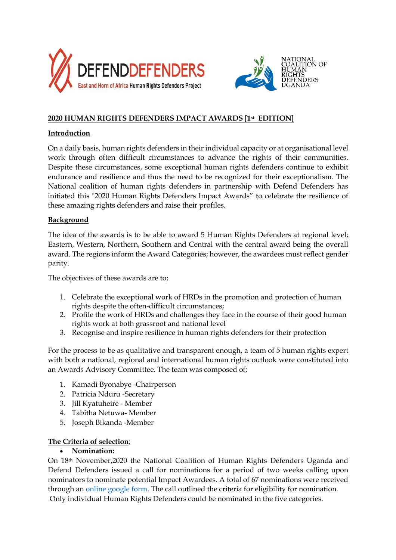



# **2020 HUMAN RIGHTS DEFENDERS IMPACT AWARDS [1st EDITION]**

## **Introduction**

On a daily basis, human rights defenders in their individual capacity or at organisational level work through often difficult circumstances to advance the rights of their communities. Despite these circumstances, some exceptional human rights defenders continue to exhibit endurance and resilience and thus the need to be recognized for their exceptionalism. The National coalition of human rights defenders in partnership with Defend Defenders has initiated this "2020 Human Rights Defenders Impact Awards" to celebrate the resilience of these amazing rights defenders and raise their profiles.

## **Background**

The idea of the awards is to be able to award 5 Human Rights Defenders at regional level; Eastern, Western, Northern, Southern and Central with the central award being the overall award. The regions inform the Award Categories; however, the awardees must reflect gender parity.

The objectives of these awards are to;

- 1. Celebrate the exceptional work of HRDs in the promotion and protection of human rights despite the often-difficult circumstances;
- 2. Profile the work of HRDs and challenges they face in the course of their good human rights work at both grassroot and national level
- 3. Recognise and inspire resilience in human rights defenders for their protection

For the process to be as qualitative and transparent enough, a team of 5 human rights expert with both a national, regional and international human rights outlook were constituted into an Awards Advisory Committee. The team was composed of;

- 1. Kamadi Byonabye -Chairperson
- 2. Patricia Nduru -Secretary
- 3. Jill Kyatuheire Member
- 4. Tabitha Netuwa- Member
- 5. Joseph Bikanda -Member

#### **The Criteria of selection**;

#### • **Nomination:**

On 18th November,2020 the National Coalition of Human Rights Defenders Uganda and Defend Defenders issued a call for nominations for a period of two weeks calling upon nominators to nominate potential Impact Awardees. A total of 67 nominations were received through an online google form. The call outlined the criteria for eligibility for nomination. Only individual Human Rights Defenders could be nominated in the five categories.